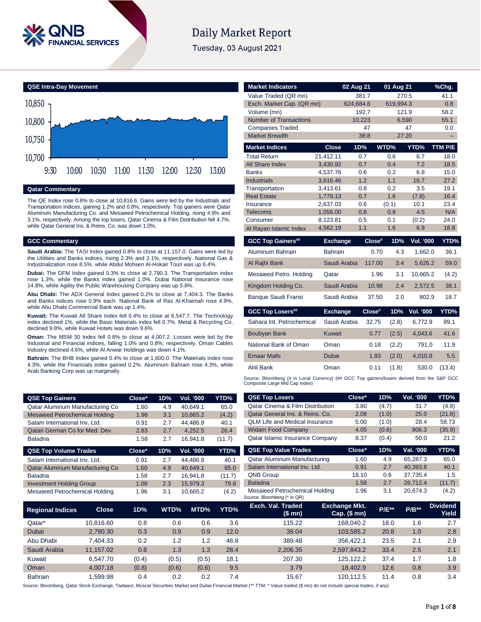

# **Daily Market Report**

Tuesday, 03 August 2021



#### **Qatar Commentary**

The QE Index rose 0.8% to close at 10,816.6. Gains were led by the Industrials and Transportation indices, gaining 1.2% and 0.8%, respectively. Top gainers were Qatar Aluminum Manufacturing Co. and Mesaieed Petrochemical Holding, rising 4.9% and 3.1%, respectively. Among the top losers, Qatar Cinema & Film Distribution fell 4.7%, while Qatar General Ins. & Reins. Co. was down 1.0%.

### **GCC Commentary**

**Saudi Arabia:** The TASI Index gained 0.8% to close at 11,157.0. Gains were led by the Utilities and Banks indices, rising 2.3% and 2.1%, respectively. National Gas & Industrialization rose 8.5%, while Abdul Mohsen Al-Hokair Touri was up 6.4%.

**Dubai:** The DFM Index gained 0.3% to close at 2,790.3. The Transportation index rose 1.3%, while the Banks index gained 1.0%. Dubai National Insurance rose 14.8%, while Agility the Public Warehousing Company was up 5.8%.

**Abu Dhabi:** The ADX General Index gained 0.2% to close at 7,404.3. The Banks and Banks indices rose 0.9% each. National Bank of Ras Al-Khaimah rose 4.9%, while Abu Dhabi Commercial Bank was up 1.4%.

**Kuwait:** The Kuwait All Share Index fell 0.4% to close at 6,547.7. The Technology index declined 1%, while the Basic Materials index fell 0.7%. Metal & Recycling Co. declined 9.8%, while Kuwait Hotels was down 9.6%.

**Oman:** The MSM 30 Index fell 0.8% to close at 4,007.2. Losses were led by the Industrial and Financial indices, falling 1.0% and 0.8%, respectively. Oman Cables Industry declined 4.6%, while Al Anwar Holdings was down 4.1%.

**Bahrain:** The BHB Index gained 0.4% to close at 1,600.0. The Materials index rose 4.3%, while the Financials index gained 0.2%. Aluminum Bahrain rose 4.3%, while Arab Banking Corp was up marginally.

| Value Traded (QR mn)                                                                                                          |                 | 381.7     |                    | 270.5     |                  | 41.1    |
|-------------------------------------------------------------------------------------------------------------------------------|-----------------|-----------|--------------------|-----------|------------------|---------|
| Exch. Market Cap. (QR mn)                                                                                                     |                 | 624,684.6 |                    | 619,994.3 |                  | 0.8     |
| Volume (mn)                                                                                                                   |                 | 192.7     |                    | 121.9     |                  | 58.2    |
| <b>Number of Transactions</b>                                                                                                 |                 | 10,223    |                    | 6,590     |                  | 55.1    |
| <b>Companies Traded</b>                                                                                                       |                 | 47        |                    |           | 47               | 0.0     |
| <b>Market Breadth</b>                                                                                                         |                 | 38:8      |                    | 27:20     |                  |         |
| <b>Market Indices</b>                                                                                                         | <b>Close</b>    | 1D%       |                    | WTD%      | YTD%             | TTM P/E |
| <b>Total Return</b>                                                                                                           | 21,412.11       | 0.7       |                    | 0.6       | 6.7              | 18.0    |
| All Share Index                                                                                                               | 3,430.92        | 0.7       |                    | 0.4       | 7.2              | 18.5    |
| <b>Banks</b>                                                                                                                  | 4,537.76        | 0.6       |                    | 0.2       | 6.8              | 15.0    |
| <b>Industrials</b>                                                                                                            | 3,616.46        | 1.2       |                    | 1.1       | 16.7             | 27.2    |
| Transportation                                                                                                                | 3,413.61        | 0.8       |                    | 0.2       | 3.5              | 19.1    |
| <b>Real Estate</b>                                                                                                            | 1,779.13        | 0.7       |                    | 1.6       | (7.8)            | 16.4    |
| Insurance                                                                                                                     | 2,637.03        | 0.6       |                    | (0.1)     | 10.1             | 23.4    |
| <b>Telecoms</b>                                                                                                               | 1,056.00        | 0.8       |                    | 0.8       | 4.5              | N/A     |
| Consumer                                                                                                                      | 8,123.81        | 0.5       |                    | 0.1       | (0.2)            | 24.0    |
| Al Rayan Islamic Index                                                                                                        | 4,562.19        | 1.1       |                    | 1.6       | 6.9              | 18.8    |
| <b>GCC Top Gainers##</b>                                                                                                      | <b>Exchange</b> |           | Close#             | 1D%       | <b>Vol. '000</b> | YTD%    |
| Aluminum Bahrain                                                                                                              | <b>Bahrain</b>  |           | 0.70               | 4.3       | 1,662.0          | 36.1    |
| Al Rajhi Bank                                                                                                                 | Saudi Arabia    |           | 117.00             | 3.4       | 5,626.2          | 59.0    |
| Mesaieed Petro. Holding                                                                                                       | Qatar           |           | 1.96               | 3.1       | 10,665.2         | (4.2)   |
| Kingdom Holding Co.                                                                                                           | Saudi Arabia    |           | 10.98              | 2.4       | 2,572.5          | 38.1    |
| <b>Banque Saudi Fransi</b>                                                                                                    | Saudi Arabia    |           | 37.50              | 2.0       | 802.9            | 18.7    |
| <b>GCC Top Losers##</b>                                                                                                       | <b>Exchange</b> |           | Close <sup>#</sup> | 1D%       | <b>Vol. '000</b> | YTD%    |
| Sahara Int. Petrochemical                                                                                                     | Saudi Arabia    |           | 32.75              | (2.8)     | 6,772.9          | 89.1    |
| <b>Boubyan Bank</b>                                                                                                           | <b>Kuwait</b>   |           | 0.77               | (2.5)     | 4,043.6          | 41.6    |
| National Bank of Oman                                                                                                         | Oman            |           | 0.18               | (2.2)     | 791.0            | 11.9    |
| <b>Emaar Malls</b>                                                                                                            | <b>Dubai</b>    |           | 1.93               | (2.0)     | 4,010.8          | 5.5     |
| Ahli Bank                                                                                                                     | Oman            |           | 0.11               | (1.8)     | 530.0            | (13.4)  |
| Source: Bloomberg (# in Local Currency) (## GCC Top gainers/losers derived from the S&P GCC<br>Composite Large Mid Cap Index) |                 |           |                    |           |                  |         |

**Market Indicators 02 Aug 21 01 Aug 21 %Chg.**

| <b>QSE Top Gainers</b>                | Close* | 1D% | Vol. '000 | YTD%   |
|---------------------------------------|--------|-----|-----------|--------|
| Qatar Aluminum Manufacturing Co       | 1.60   | 4.9 | 40.649.1  | 65.0   |
| <b>Mesaieed Petrochemical Holding</b> | 1.96   | 3.1 | 10.665.2  | (4.2)  |
| Salam International Inv. Ltd.         | 0.91   | 2.7 | 44.486.9  | 40.1   |
| Qatari German Co for Med. Dev.        | 2.83   | 2.7 | 4.252.5   | 26.4   |
| <b>Baladna</b>                        | 1.58   | 2.7 | 16.941.8  | (11.7) |
| <b>QSE Top Volume Trades</b>          | Close* | 1D% | Vol. '000 | YTD%   |
| Salam International Inv. Ltd.         | 0.91   | 2.7 | 44.486.9  | 40.1   |
| Qatar Aluminum Manufacturing Co.      | 1.60   | 4.9 | 40.649.1  | 65.0   |
| <b>Baladna</b>                        | 1.58   | 2.7 | 16.941.8  | (11.7) |

Investment Holding Group 1.08 2.3 15,979.3 79.8 Mesaieed Petrochemical Holding 1.96 3.1 10,665.2 (4.2)

| <b>QSE Top Losers</b>                                         | Close* | 1D%   | <b>Vol. '000</b>                    | YTD%     |
|---------------------------------------------------------------|--------|-------|-------------------------------------|----------|
| <b>Qatar Cinema &amp; Film Distribution</b>                   | 3.80   | (4.7) | 31.7                                | (4.8)    |
| Qatar General Ins. & Reins. Co.                               | 2.08   | (1.0) | 25.0                                | (21.8)   |
| <b>OLM Life and Medical Insurance</b>                         | 5.00   | (1.0) | 28.4                                | 58.73    |
| <b>Widam Food Company</b>                                     | 4.05   | (0.6) | 906.3                               | (35.9)   |
| Qatar Islamic Insurance Company                               | 8.37   | (0.4) | 50.0                                | 21.2     |
| <b>QSE Top Value Trades</b>                                   | Close* | 1D%   | Val. '000                           | YTD%     |
| Qatar Aluminum Manufacturing                                  | 1.60   | 4.9   | 65.287.3                            | 65.0     |
| Salam International Inv. Ltd.                                 | 0.91   | 2.7   | 40.393.8                            | 40.1     |
| <b>QNB Group</b>                                              | 18.10  | 0.6   | 37.735.4                            | 1.5      |
| <b>Baladna</b>                                                | 1.58   | 2.7   | 26.712.4                            | (11.7)   |
| Mesaieed Petrochemical Holding<br>Source: Bloomberg (* in QR) | 1.96   | 3.1   | 20.674.3                            | (4.2)    |
| <b>Fxch. Val. Traded</b><br><b>Fxchange Mkt</b>               |        |       | <b>Allen Andreas Communications</b> | Dividend |

| <b>Regional Indices</b> | <b>Close</b> | 1D%   | WTD%  | MTD%  | YTD% | Exch. Val. Traded<br>(\$ mn) | <b>Exchange Mkt.</b><br>Cap. $($$ mn $)$ | <b>P/E**</b> | $P/B**$ | <b>Dividend</b><br>Yield |
|-------------------------|--------------|-------|-------|-------|------|------------------------------|------------------------------------------|--------------|---------|--------------------------|
| Qatar*                  | 10.816.60    | 0.8   | 0.6   | 0.6   | 3.6  | 115.22                       | 168.040.2                                | 18.0         | 1.6     | 2.7                      |
| Dubai                   | 2.790.30     | 0.3   | 0.9   | 0.9   | 12.0 | 39.04                        | 103.585.2                                | 20.8         | 1.0     | 2.8                      |
| Abu Dhabi               | 7.404.33     | 0.2   | 1.2   | 1.2   | 46.8 | 389.48                       | 356.422.1                                | 23.5         | 2.1     | 2.9                      |
| Saudi Arabia            | 11.157.02    | 0.8   | 1.3   | 1.3   | 28.4 | 2.206.35                     | 2,597,843.2                              | 33.4         | 2.5     | 2.1                      |
| Kuwait                  | 6.547.70     | (0.4) | (0.5) | (0.5) | 18.1 | 207.30                       | 125.122.2                                | 37.4         | 1.7     | 1.8                      |
| Oman                    | 4.007.18     | (0.8) | (0.6) | (0.6) | 9.5  | 3.79                         | 18,402.9                                 | 12.6         | 0.8     | 3.9                      |
| <b>Bahrain</b>          | .599.98      | 0.4   | 0.2   | 0.2   | 7.4  | 15.67                        | 120.112.5                                | 11.4         | 0.8     | 3.4                      |

Source: Bloomberg, Qatar Stock Exchange, Tadawul, Muscat Securities Market and Dubai Financial Market (\*\* TTM; \* Value traded (\$ mn) do not include special trades, if any)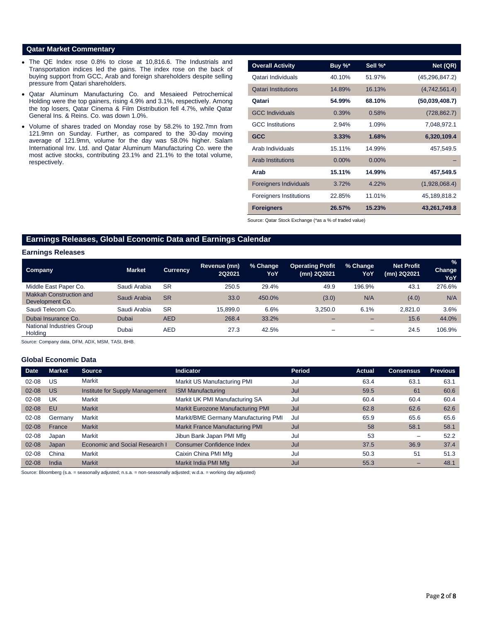### **Qatar Market Commentary**

- The QE Index rose 0.8% to close at 10,816.6. The Industrials and Transportation indices led the gains. The index rose on the back of buying support from GCC, Arab and foreign shareholders despite selling pressure from Qatari shareholders.
- Qatar Aluminum Manufacturing Co. and Mesaieed Petrochemical Holding were the top gainers, rising 4.9% and 3.1%, respectively. Among the top losers, Qatar Cinema & Film Distribution fell 4.7%, while Qatar General Ins. & Reins. Co. was down 1.0%.
- Volume of shares traded on Monday rose by 58.2% to 192.7mn from 121.9mn on Sunday. Further, as compared to the 30-day moving average of 121.9mn, volume for the day was 58.0% higher. Salam International Inv. Ltd. and Qatar Aluminum Manufacturing Co. were the most active stocks, contributing 23.1% and 21.1% to the total volume, respectively.

| <b>Overall Activity</b>        | Buy %*   | Sell %*  | Net (QR)         |
|--------------------------------|----------|----------|------------------|
| Qatari Individuals             | 40.10%   | 51.97%   | (45, 296, 847.2) |
| <b>Qatari Institutions</b>     | 14.89%   | 16.13%   | (4,742,561.4)    |
| Qatari                         | 54.99%   | 68.10%   | (50.039.408.7)   |
| <b>GCC Individuals</b>         | 0.39%    | 0.58%    | (728, 862.7)     |
| <b>GCC</b> Institutions        | 2.94%    | 1.09%    | 7,048,972.1      |
| <b>GCC</b>                     | 3.33%    | 1.68%    | 6,320,109.4      |
| Arab Individuals               | 15.11%   | 14.99%   | 457,549.5        |
| <b>Arab Institutions</b>       | $0.00\%$ | $0.00\%$ |                  |
| Arab                           | 15.11%   | 14.99%   | 457,549.5        |
| <b>Foreigners Individuals</b>  | 3.72%    | 4,22%    | (1,928,068.4)    |
| <b>Foreigners Institutions</b> | 22.85%   | 11.01%   | 45,189,818.2     |
| <b>Foreigners</b>              | 26.57%   | 15.23%   | 43,261,749.8     |

Source: Qatar Stock Exchange (\*as a % of traded value)

# **Earnings Releases, Global Economic Data and Earnings Calendar**

#### **Earnings Releases**

| <b>Company</b>                             | <b>Market</b> | <b>Currency</b> | Revenue (mn)<br>2Q2021 | % Change<br>YoY | <b>Operating Profit</b><br>(mn) 2Q2021 | % Change<br>YoY | Net Profit<br>(mn) 2Q2021 | $\frac{9}{6}$<br>Change<br>YoY |
|--------------------------------------------|---------------|-----------------|------------------------|-----------------|----------------------------------------|-----------------|---------------------------|--------------------------------|
| Middle East Paper Co.                      | Saudi Arabia  | <b>SR</b>       | 250.5                  | 29.4%           | 49.9                                   | 196.9%          | 43.1                      | 276.6%                         |
| Makkah Construction and<br>Development Co. | Saudi Arabia  | <b>SR</b>       | 33.0                   | 450.0%          | (3.0)                                  | N/A             | (4.0)                     | N/A                            |
| Saudi Telecom Co.                          | Saudi Arabia  | <b>SR</b>       | 15.899.0               | 6.6%            | 3.250.0                                | 6.1%            | 2.821.0                   | 3.6%                           |
| Dubai Insurance Co.                        | Dubai         | <b>AED</b>      | 268.4                  | 33.2%           |                                        |                 | 15.6                      | 44.0%                          |
| National Industries Group<br>Holding       | Dubai         | <b>AED</b>      | 27.3                   | 42.5%           | -                                      | -               | 24.5                      | 106.9%                         |

Source: Company data, DFM, ADX, MSM, TASI, BHB.

# **Global Economic Data**

| <b>Date</b> | <b>Market</b> | <b>Source</b>                   | <b>Indicator</b>                       | Period | <b>Actual</b> | <b>Consensus</b>         | <b>Previous</b> |
|-------------|---------------|---------------------------------|----------------------------------------|--------|---------------|--------------------------|-----------------|
| $02 - 08$   | US            | Markit                          | Markit US Manufacturing PMI            | Jul    | 63.4          | 63.1                     | 63.1            |
| $02 - 08$   | US            | Institute for Supply Management | <b>ISM Manufacturing</b>               | Jul    | 59.5          | 61                       | 60.6            |
| $02 - 08$   | UK            | Markit                          | Markit UK PMI Manufacturing SA         | Jul    | 60.4          | 60.4                     | 60.4            |
| $02 - 08$   | EU            | <b>Markit</b>                   | Markit Eurozone Manufacturing PMI      | Jul    | 62.8          | 62.6                     | 62.6            |
| $02 - 08$   | Germany       | Markit                          | Markit/BME Germany Manufacturing PMI   | Jul    | 65.9          | 65.6                     | 65.6            |
| $02 - 08$   | France        | <b>Markit</b>                   | <b>Markit France Manufacturing PMI</b> | Jul    | 58            | 58.1                     | 58.1            |
| 02-08       | Japan         | Markit                          | Jibun Bank Japan PMI Mfg               | Jul    | 53            | $\overline{\phantom{0}}$ | 52.2            |
| $02 - 08$   | Japan         | Economic and Social Research I  | <b>Consumer Confidence Index</b>       | Jul    | 37.5          | 36.9                     | 37.4            |
| $02 - 08$   | China         | Markit                          | Caixin China PMI Mfg                   | Jul    | 50.3          | 51                       | 51.3            |
| $02 - 08$   | India         | <b>Markit</b>                   | Markit India PMI Mfg                   | Jul    | 55.3          |                          | 48.1            |

Source: Bloomberg (s.a. = seasonally adjusted; n.s.a. = non-seasonally adjusted; w.d.a. = working day adjusted)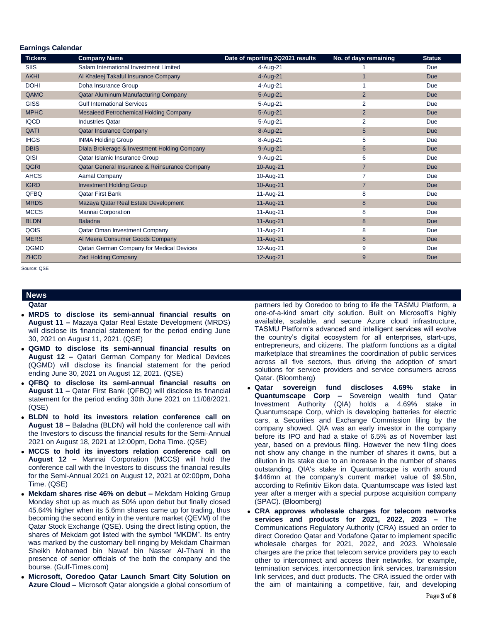### **Earnings Calendar**

| <b>Tickers</b> | <b>Company Name</b>                           | Date of reporting 2Q2021 results | No. of days remaining | <b>Status</b> |
|----------------|-----------------------------------------------|----------------------------------|-----------------------|---------------|
| <b>SIIS</b>    | Salam International Investment Limited        | 4-Aug-21                         |                       | Due           |
| <b>AKHI</b>    | Al Khaleej Takaful Insurance Company          | 4-Aug-21                         | $\overline{1}$        | <b>Due</b>    |
| <b>DOHI</b>    | Doha Insurance Group                          | 4-Aug-21                         |                       | Due           |
| QAMC           | Qatar Aluminum Manufacturing Company          | 5-Aug-21                         | $\overline{2}$        | <b>Due</b>    |
| <b>GISS</b>    | <b>Gulf International Services</b>            | 5-Aug-21                         | $\overline{2}$        | Due           |
| <b>MPHC</b>    | Mesaieed Petrochemical Holding Company        | 5-Aug-21                         | $\overline{2}$        | <b>Due</b>    |
| <b>IQCD</b>    | <b>Industries Qatar</b>                       | 5-Aug-21                         | $\overline{2}$        | Due           |
| QATI           | <b>Qatar Insurance Company</b>                | 8-Aug-21                         | 5                     | Due           |
| <b>IHGS</b>    | <b>INMA Holding Group</b>                     | 8-Aug-21                         | 5                     | Due           |
| <b>DBIS</b>    | Dlala Brokerage & Investment Holding Company  | 9-Aug-21                         | 6                     | <b>Due</b>    |
| QISI           | Qatar Islamic Insurance Group                 | 9-Aug-21                         | 6                     | Due           |
| <b>QGRI</b>    | Qatar General Insurance & Reinsurance Company | 10-Aug-21                        | $\overline{7}$        | <b>Due</b>    |
| <b>AHCS</b>    | Aamal Company                                 | 10-Aug-21                        | 7                     | Due           |
| <b>IGRD</b>    | <b>Investment Holding Group</b>               | 10-Aug-21                        | $\overline{7}$        | <b>Due</b>    |
| QFBQ           | <b>Qatar First Bank</b>                       | 11-Aug-21                        | 8                     | Due           |
| <b>MRDS</b>    | Mazaya Qatar Real Estate Development          | 11-Aug-21                        | 8                     | <b>Due</b>    |
| <b>MCCS</b>    | Mannai Corporation                            | 11-Aug-21                        | 8                     | Due           |
| <b>BLDN</b>    | <b>Baladna</b>                                | 11-Aug-21                        | 8                     | <b>Due</b>    |
| QOIS           | Qatar Oman Investment Company                 | 11-Aug-21                        | 8                     | Due           |
| <b>MERS</b>    | Al Meera Consumer Goods Company               | 11-Aug-21                        | 8                     | <b>Due</b>    |
| QGMD           | Qatari German Company for Medical Devices     | 12-Aug-21                        | 9                     | Due           |
| <b>ZHCD</b>    | <b>Zad Holding Company</b>                    | 12-Aug-21                        | 9                     | Due           |

Source: QSE

#### **News Qatar**

- **MRDS to disclose its semi-annual financial results on August 11 –** Mazaya Qatar Real Estate Development (MRDS) will disclose its financial statement for the period ending June 30, 2021 on August 11, 2021. (QSE)
- **QGMD to disclose its semi-annual financial results on August 12 –** Qatari German Company for Medical Devices (QGMD) will disclose its financial statement for the period ending June 30, 2021 on August 12, 2021. (QSE)
- **QFBQ to disclose its semi-annual financial results on August 11 –** Qatar First Bank (QFBQ) will disclose its financial statement for the period ending 30th June 2021 on 11/08/2021. (QSE)
- **BLDN to hold its investors relation conference call on August 18 –** Baladna (BLDN) will hold the conference call with the Investors to discuss the financial results for the Semi-Annual 2021 on August 18, 2021 at 12:00pm, Doha Time. (QSE)
- **MCCS to hold its investors relation conference call on August 12 –** Mannai Corporation (MCCS) wiil hold the conference call with the Investors to discuss the financial results for the Semi-Annual 2021 on August 12, 2021 at 02:00pm, Doha Time. (QSE)
- **Mekdam shares rise 46% on debut –** Mekdam Holding Group Monday shot up as much as 50% upon debut but finally closed 45.64% higher when its 5.6mn shares came up for trading, thus becoming the second entity in the venture market (QEVM) of the Qatar Stock Exchange (QSE). Using the direct listing option, the shares of Mekdam got listed with the symbol "MKDM". Its entry was marked by the customary bell ringing by Mekdam Chairman Sheikh Mohamed bin Nawaf bin Nasser Al-Thani in the presence of senior officials of the both the company and the bourse. (Gulf-Times.com)
- **Microsoft, Ooredoo Qatar Launch Smart City Solution on Azure Cloud –** Microsoft Qatar alongside a global consortium of

partners led by Ooredoo to bring to life the TASMU Platform, a one-of-a-kind smart city solution. Built on Microsoft's highly available, scalable, and secure Azure cloud infrastructure, TASMU Platform's advanced and intelligent services will evolve the country's digital ecosystem for all enterprises, start-ups, entrepreneurs, and citizens. The platform functions as a digital marketplace that streamlines the coordination of public services across all five sectors, thus driving the adoption of smart solutions for service providers and service consumers across Qatar. (Bloomberg)

- **Qatar sovereign fund discloses 4.69% stake in Quantumscape Corp –** Sovereign wealth fund Qatar Investment Authority (QIA) holds a 4.69% stake in Quantumscape Corp, which is developing batteries for electric cars, a Securities and Exchange Commission filing by the company showed. QIA was an early investor in the company before its IPO and had a stake of 6.5% as of November last year, based on a previous filing. However the new filing does not show any change in the number of shares it owns, but a dilution in its stake due to an increase in the number of shares outstanding. QIA's stake in Quantumscape is worth around \$446mn at the company's current market value of \$9.5bn, according to Refinitiv Eikon data. Quantumscape was listed last year after a merger with a special purpose acquisition company (SPAC). (Bloomberg)
- **CRA approves wholesale charges for telecom networks services and products for 2021, 2022, 2023 –** The Communications Regulatory Authority (CRA) issued an order to direct Ooredoo Qatar and Vodafone Qatar to implement specific wholesale charges for 2021, 2022, and 2023. Wholesale charges are the price that telecom service providers pay to each other to interconnect and access their networks, for example, termination services, interconnection link services, transmission link services, and duct products. The CRA issued the order with the aim of maintaining a competitive, fair, and developing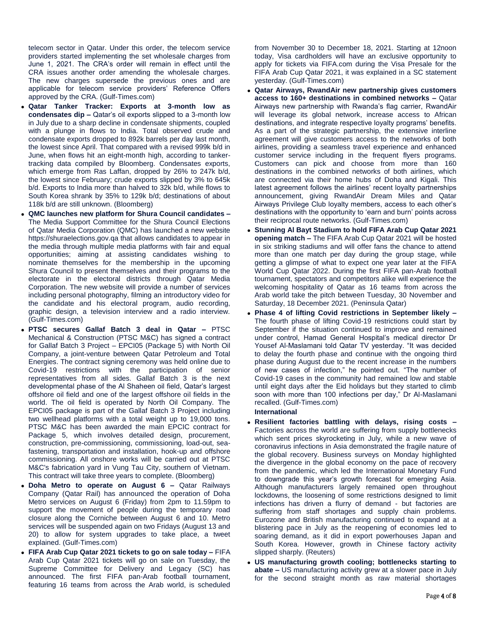telecom sector in Qatar. Under this order, the telecom service providers started implementing the set wholesale charges from June 1, 2021. The CRA's order will remain in effect until the CRA issues another order amending the wholesale charges. The new charges supersede the previous ones and are applicable for telecom service providers' Reference Offers approved by the CRA. (Gulf-Times.com)

- **Qatar Tanker Tracker: Exports at 3-month low as condensates dip –** Qatar's oil exports slipped to a 3-month low in July due to a sharp decline in condensate shipments, coupled with a plunge in flows to India. Total observed crude and condensate exports dropped to 892k barrels per day last month, the lowest since April. That compared with a revised 999k b/d in June, when flows hit an eight-month high, according to tankertracking data compiled by Bloomberg. Condensates exports, which emerge from Ras Laffan, dropped by 26% to 247k b/d, the lowest since February; crude exports slipped by 3% to 645k b/d. Exports to India more than halved to 32k b/d, while flows to South Korea shrank by 35% to 129k b/d; destinations of about 118k b/d are still unknown. (Bloomberg)
- **QMC launches new platform for Shura Council candidates –** The Media Support Committee for the Shura Council Elections of Qatar Media Corporation (QMC) has launched a new website https://shuraelections.gov.qa that allows candidates to appear in the media through multiple media platforms with fair and equal opportunities; aiming at assisting candidates wishing to nominate themselves for the membership in the upcoming Shura Council to present themselves and their programs to the electorate in the electoral districts through Qatar Media Corporation. The new website will provide a number of services including personal photography, filming an introductory video for the candidate and his electoral program, audio recording, graphic design, a television interview and a radio interview. (Gulf-Times.com)
- **PTSC secures Gallaf Batch 3 deal in Qatar –** PTSC Mechanical & Construction (PTSC M&C) has signed a contract for Gallaf Batch 3 Project – EPCI05 (Package 5) with North Oil Company, a joint-venture between Qatar Petroleum and Total Energies. The contract signing ceremony was held online due to Covid-19 restrictions with the participation of senior representatives from all sides. Gallaf Batch 3 is the next developmental phase of the Al Shaheen oil field, Qatar's largest offshore oil field and one of the largest offshore oil fields in the world. The oil field is operated by North Oil Company. The EPCI05 package is part of the Gallaf Batch 3 Project including two wellhead platforms with a total weight up to 19,000 tons. PTSC M&C has been awarded the main EPCIC contract for Package 5, which involves detailed design, procurement, construction, pre-commissioning, commissioning, load-out, seafastening, transportation and installation, hook-up and offshore commissioning. All onshore works will be carried out at PTSC M&C's fabrication yard in Vung Tau City, southern of Vietnam. This contract will take three years to complete. (Bloomberg)
- **Doha Metro to operate on August 6 –** Qatar Railways Company (Qatar Rail) has announced the operation of Doha Metro services on August 6 (Friday) from 2pm to 11.59pm to support the movement of people during the temporary road closure along the Corniche between August 6 and 10. Metro services will be suspended again on two Fridays (August 13 and 20) to allow for system upgrades to take place, a tweet explained. (Gulf-Times.com)
- **FIFA Arab Cup Qatar 2021 tickets to go on sale today –** FIFA Arab Cup Qatar 2021 tickets will go on sale on Tuesday, the Supreme Committee for Delivery and Legacy (SC) has announced. The first FIFA pan-Arab football tournament, featuring 16 teams from across the Arab world, is scheduled

from November 30 to December 18, 2021. Starting at 12noon today, Visa cardholders will have an exclusive opportunity to apply for tickets via FIFA.com during the Visa Presale for the FIFA Arab Cup Qatar 2021, it was explained in a SC statement yesterday. (Gulf-Times.com)

- **Qatar Airways, RwandAir new partnership gives customers access to 160+ destinations in combined networks –** Qatar Airways new partnership with Rwanda's flag carrier, RwandAir will leverage its global network, increase access to African destinations, and integrate respective loyalty programs' benefits. As a part of the strategic partnership, the extensive interline agreement will give customers access to the networks of both airlines, providing a seamless travel experience and enhanced customer service including in the frequent flyers programs. Customers can pick and choose from more than 160 destinations in the combined networks of both airlines, which are connected via their home hubs of Doha and Kigali. This latest agreement follows the airlines' recent loyalty partnerships announcement, giving RwandAir Dream Miles and Qatar Airways Privilege Club loyalty members, access to each other's destinations with the opportunity to 'earn and burn' points across their reciprocal route networks. (Gulf-Times.com)
- **Stunning Al Bayt Stadium to hold FIFA Arab Cup Qatar 2021 opening match –** The FIFA Arab Cup Qatar 2021 will be hosted in six striking stadiums and will offer fans the chance to attend more than one match per day during the group stage, while getting a glimpse of what to expect one year later at the FIFA World Cup Qatar 2022. During the first FIFA pan-Arab football tournament, spectators and competitors alike will experience the welcoming hospitality of Qatar as 16 teams from across the Arab world take the pitch between Tuesday, 30 November and Saturday, 18 December 2021. (Peninsula Qatar)
- **Phase 4 of lifting Covid restrictions in September likely –** The fourth phase of lifting Covid-19 restrictions could start by September if the situation continued to improve and remained under control, Hamad General Hospital's medical director Dr Yousef Al-Maslamani told Qatar TV yesterday. "It was decided to delay the fourth phase and continue with the ongoing third phase during August due to the recent increase in the numbers of new cases of infection," he pointed out. "The number of Covid-19 cases in the community had remained low and stable until eight days after the Eid holidays but they started to climb soon with more than 100 infections per day," Dr Al-Maslamani recalled. (Gulf-Times.com)

## **International**

- **Resilient factories battling with delays, rising costs –** Factories across the world are suffering from supply bottlenecks which sent prices skyrocketing in July, while a new wave of coronavirus infections in Asia demonstrated the fragile nature of the global recovery. Business surveys on Monday highlighted the divergence in the global economy on the pace of recovery from the pandemic, which led the International Monetary Fund to downgrade this year's growth forecast for emerging Asia. Although manufacturers largely remained open throughout lockdowns, the loosening of some restrictions designed to limit infections has driven a flurry of demand - but factories are suffering from staff shortages and supply chain problems. Eurozone and British manufacturing continued to expand at a blistering pace in July as the reopening of economies led to soaring demand, as it did in export powerhouses Japan and South Korea. However, growth in Chinese factory activity slipped sharply. (Reuters)
- **US manufacturing growth cooling; bottlenecks starting to abate –** US manufacturing activity grew at a slower pace in July for the second straight month as raw material shortages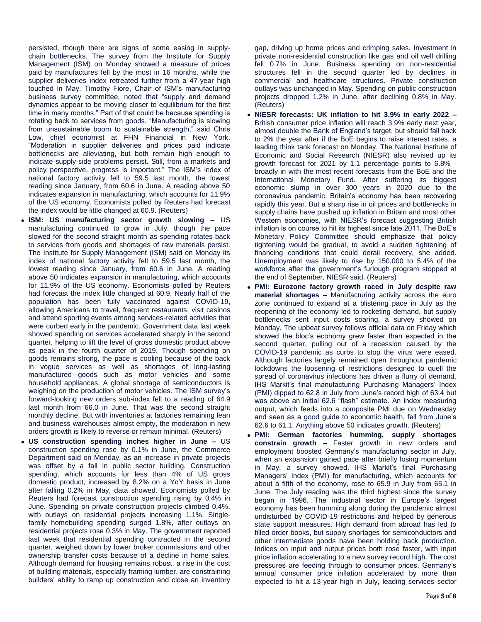persisted, though there are signs of some easing in supplychain bottlenecks. The survey from the Institute for Supply Management (ISM) on Monday showed a measure of prices paid by manufactures fell by the most in 16 months, while the supplier deliveries index retreated further from a 47-year high touched in May. Timothy Fiore, Chair of ISM's manufacturing business survey committee, noted that "supply and demand dynamics appear to be moving closer to equilibrium for the first time in many months." Part of that could be because spending is rotating back to services from goods. "Manufacturing is slowing from unsustainable boom to sustainable strength," said Chris Low, chief economist at FHN Financial in New York. "Moderation in supplier deliveries and prices paid indicate bottlenecks are alleviating, but both remain high enough to indicate supply-side problems persist. Still, from a markets and policy perspective, progress is important." The ISM's index of national factory activity fell to 59.5 last month, the lowest reading since January, from 60.6 in June. A reading above 50 indicates expansion in manufacturing, which accounts for 11.9% of the US economy. Economists polled by Reuters had forecast the index would be little changed at 60.9. (Reuters)

- **ISM: US manufacturing sector growth slowing –** US manufacturing continued to grow in July, though the pace slowed for the second straight month as spending rotates back to services from goods and shortages of raw materials persist. The Institute for Supply Management (ISM) said on Monday its index of national factory activity fell to 59.5 last month, the lowest reading since January, from 60.6 in June. A reading above 50 indicates expansion in manufacturing, which accounts for 11.9% of the US economy. Economists polled by Reuters had forecast the index little changed at 60.9. Nearly half of the population has been fully vaccinated against COVID-19, allowing Americans to travel, frequent restaurants, visit casinos and attend sporting events among services-related activities that were curbed early in the pandemic. Government data last week showed spending on services accelerated sharply in the second quarter, helping to lift the level of gross domestic product above its peak in the fourth quarter of 2019. Though spending on goods remains strong, the pace is cooling because of the back in vogue services as well as shortages of long-lasting manufactured goods such as motor vehicles and some household appliances. A global shortage of semiconductors is weighing on the production of motor vehicles. The ISM survey's forward-looking new orders sub-index fell to a reading of 64.9 last month from 66.0 in June. That was the second straight monthly decline. But with inventories at factories remaining lean and business warehouses almost empty, the moderation in new orders growth is likely to reverse or remain minimal. (Reuters)
- **US construction spending inches higher in June –** US construction spending rose by 0.1% in June, the Commerce Department said on Monday, as an increase in private projects was offset by a fall in public sector building. Construction spending, which accounts for less than 4% of US gross domestic product, increased by 8.2% on a YoY basis in June after falling 0.2% in May, data showed. Economists polled by Reuters had forecast construction spending rising by 0.4% in June. Spending on private construction projects climbed 0.4%, with outlays on residential projects increasing 1.1%. Singlefamily homebuilding spending surged 1.8%, after outlays on residential projects rose 0.3% in May. The government reported last week that residential spending contracted in the second quarter, weighed down by lower broker commissions and other ownership transfer costs because of a decline in home sales. Although demand for housing remains robust, a rise in the cost of building materials, especially framing lumber, are constraining builders' ability to ramp up construction and close an inventory

gap, driving up home prices and crimping sales. Investment in private non-residential construction like gas and oil well drilling fell 0.7% in June. Business spending on non-residential structures fell in the second quarter led by declines in commercial and healthcare structures. Private construction outlays was unchanged in May. Spending on public construction projects dropped 1.2% in June, after declining 0.8% in May. (Reuters)

- **NIESR forecasts: UK inflation to hit 3.9% in early 2022 –** British consumer price inflation will reach 3.9% early next year, almost double the Bank of England's target, but should fall back to 2% the year after if the BoE begins to raise interest rates, a leading think tank forecast on Monday. The National Institute of Economic and Social Research (NIESR) also revised up its growth forecast for 2021 by 1.1 percentage points to 6.8% broadly in with the most recent forecasts from the BoE and the International Monetary Fund. After suffering its biggest economic slump in over 300 years in 2020 due to the coronavirus pandemic, Britain's economy has been recovering rapidly this year. But a sharp rise in oil prices and bottlenecks in supply chains have pushed up inflation in Britain and most other Western economies, with NIESR's forecast suggesting British inflation is on course to hit its highest since late 2011. The BoE's Monetary Policy Committee should emphasize that policy tightening would be gradual, to avoid a sudden tightening of financing conditions that could derail recovery, she added. Unemployment was likely to rise by 150,000 to 5.4% of the workforce after the government's furlough program stopped at the end of September, NIESR said. (Reuters)
- **PMI: Eurozone factory growth raced in July despite raw material shortages –** Manufacturing activity across the euro zone continued to expand at a blistering pace in July as the reopening of the economy led to rocketing demand, but supply bottlenecks sent input costs soaring, a survey showed on Monday. The upbeat survey follows official data on Friday which showed the bloc's economy grew faster than expected in the second quarter, pulling out of a recession caused by the COVID-19 pandemic as curbs to stop the virus were eased. Although factories largely remained open throughout pandemic lockdowns the loosening of restrictions designed to quell the spread of coronavirus infections has driven a flurry of demand. IHS Markit's final manufacturing Purchasing Managers' Index (PMI) dipped to 62.8 in July from June's record high of 63.4 but was above an initial 62.6 "flash" estimate. An index measuring output, which feeds into a composite PMI due on Wednesday and seen as a good guide to economic health, fell from June's 62.6 to 61.1. Anything above 50 indicates growth. (Reuters)
- **PMI: German factories humming, supply shortages constrain growth –** Faster growth in new orders and employment boosted Germany's manufacturing sector in July, when an expansion gained pace after briefly losing momentum in May, a survey showed. IHS Markit's final Purchasing Managers' Index (PMI) for manufacturing, which accounts for about a fifth of the economy, rose to 65.9 in July from 65.1 in June. The July reading was the third highest since the survey began in 1996. The industrial sector in Europe's largest economy has been humming along during the pandemic almost undisturbed by COVID-19 restrictions and helped by generous state support measures. High demand from abroad has led to filled order books, but supply shortages for semiconductors and other intermediate goods have been holding back production. Indices on input and output prices both rose faster, with input price inflation accelerating to a new survey record high. The cost pressures are feeding through to consumer prices. Germany's annual consumer price inflation accelerated by more than expected to hit a 13-year high in July, leading services sector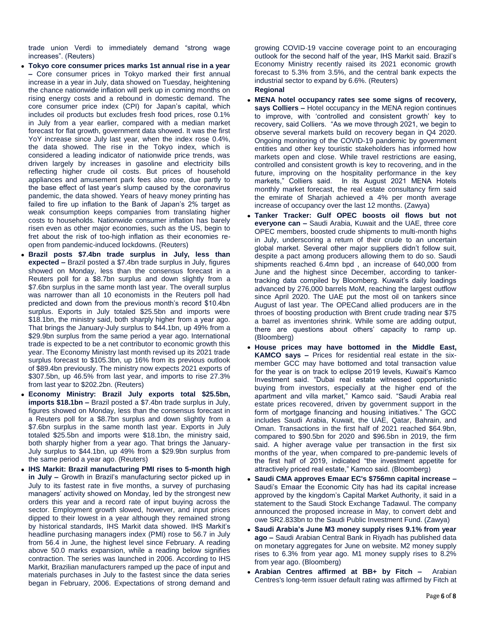trade union Verdi to immediately demand "strong wage increases". (Reuters)

- **Tokyo core consumer prices marks 1st annual rise in a year –** Core consumer prices in Tokyo marked their first annual increase in a year in July, data showed on Tuesday, heightening the chance nationwide inflation will perk up in coming months on rising energy costs and a rebound in domestic demand. The core consumer price index (CPI) for Japan's capital, which includes oil products but excludes fresh food prices, rose 0.1% in July from a year earlier, compared with a median market forecast for flat growth, government data showed. It was the first YoY increase since July last year, when the index rose 0.4%, the data showed. The rise in the Tokyo index, which is considered a leading indicator of nationwide price trends, was driven largely by increases in gasoline and electricity bills reflecting higher crude oil costs. But prices of household appliances and amusement park fees also rose, due partly to the base effect of last year's slump caused by the coronavirus pandemic, the data showed. Years of heavy money printing has failed to fire up inflation to the Bank of Japan's 2% target as weak consumption keeps companies from translating higher costs to households. Nationwide consumer inflation has barely risen even as other major economies, such as the US, begin to fret about the risk of too-high inflation as their economies reopen from pandemic-induced lockdowns. (Reuters)
- **Brazil posts \$7.4bn trade surplus in July, less than expected –** Brazil posted a \$7.4bn trade surplus in July, figures showed on Monday, less than the consensus forecast in a Reuters poll for a \$8.7bn surplus and down slightly from a \$7.6bn surplus in the same month last year. The overall surplus was narrower than all 10 economists in the Reuters poll had predicted and down from the previous month's record \$10.4bn surplus. Exports in July totaled \$25.5bn and imports were \$18.1bn, the ministry said, both sharply higher from a year ago. That brings the January-July surplus to \$44.1bn, up 49% from a \$29.9bn surplus from the same period a year ago. International trade is expected to be a net contributor to economic growth this year. The Economy Ministry last month revised up its 2021 trade surplus forecast to \$105.3bn, up 16% from its previous outlook of \$89.4bn previously. The ministry now expects 2021 exports of \$307.5bn, up 46.5% from last year, and imports to rise 27.3% from last year to \$202.2bn. (Reuters)
- **Economy Ministry: Brazil July exports total \$25.5bn, imports \$18.1bn –** Brazil posted a \$7.4bn trade surplus in July, figures showed on Monday, less than the consensus forecast in a Reuters poll for a \$8.7bn surplus and down slightly from a \$7.6bn surplus in the same month last year. Exports in July totaled \$25.5bn and imports were \$18.1bn, the ministry said, both sharply higher from a year ago. That brings the January-July surplus to \$44.1bn, up 49% from a \$29.9bn surplus from the same period a year ago. (Reuters)
- **IHS Markit: Brazil manufacturing PMI rises to 5-month high in July –** Growth in Brazil's manufacturing sector picked up in July to its fastest rate in five months, a survey of purchasing managers' activity showed on Monday, led by the strongest new orders this year and a record rate of input buying across the sector. Employment growth slowed, however, and input prices dipped to their lowest in a year although they remained strong by historical standards, IHS Markit data showed. IHS Markit's headline purchasing managers index (PMI) rose to 56.7 in July from 56.4 in June, the highest level since February. A reading above 50.0 marks expansion, while a reading below signifies contraction. The series was launched in 2006. According to IHS Markit, Brazilian manufacturers ramped up the pace of input and materials purchases in July to the fastest since the data series began in February, 2006. Expectations of strong demand and

growing COVID-19 vaccine coverage point to an encouraging outlook for the second half of the year, IHS Markit said. Brazil's Economy Ministry recently raised its 2021 economic growth forecast to 5.3% from 3.5%, and the central bank expects the industrial sector to expand by 6.6%. (Reuters)

- **Regional**
- **MENA hotel occupancy rates see some signs of recovery, says Colliers –** Hotel occupancy in the MENA region continues to improve, with 'controlled and consistent growth' key to recovery, said Colliers. "As we move through 2021, we begin to observe several markets build on recovery began in Q4 2020. Ongoing monitoring of the COVID-19 pandemic by government entities and other key touristic stakeholders has informed how markets open and close. While travel restrictions are easing, controlled and consistent growth is key to recovering, and in the future, improving on the hospitality performance in the key markets," Colliers said. In its August 2021 MENA Hotels monthly market forecast, the real estate consultancy firm said the emirate of Sharjah achieved a 4% per month average increase of occupancy over the last 12 months. (Zawya)
- **Tanker Tracker: Gulf OPEC boosts oil flows but not everyone can –** Saudi Arabia, Kuwait and the UAE, three core OPEC members, boosted crude shipments to multi-month highs in July, underscoring a return of their crude to an uncertain global market. Several other major suppliers didn't follow suit, despite a pact among producers allowing them to do so. Saudi shipments reached 6.4mn bpd , an increase of 640,000 from June and the highest since December, according to tankertracking data compiled by Bloomberg. Kuwait's daily loadings advanced by 276,000 barrels MoM, reaching the largest outflow since April 2020. The UAE put the most oil on tankers since August of last year. The OPECand allied producers are in the throes of boosting production with Brent crude trading near \$75 a barrel as inventories shrink. While some are adding output, there are questions about others' capacity to ramp up. (Bloomberg)
- **House prices may have bottomed in the Middle East, KAMCO says –** Prices for residential real estate in the sixmember GCC may have bottomed and total transaction value for the year is on track to eclipse 2019 levels, Kuwait's Kamco Investment said. "Dubai real estate witnessed opportunistic buying from investors, especially at the higher end of the apartment and villa market," Kamco said. "Saudi Arabia real estate prices recovered, driven by government support in the form of mortgage financing and housing initiatives." The GCC includes Saudi Arabia, Kuwait, the UAE, Qatar, Bahrain, and Oman. Transactions in the first half of 2021 reached \$64.9bn, compared to \$90.5bn for 2020 and \$96.5bn in 2019, the firm said. A higher average value per transaction in the first six months of the year, when compared to pre-pandemic levels of the first half of 2019, indicated "the investment appetite for attractively priced real estate," Kamco said. (Bloomberg)
- **Saudi CMA approves Emaar EC's \$756mn capital increase –** Saudi's Emaar the Economic City has had its capital increase approved by the kingdom's Capital Market Authority, it said in a statement to the Saudi Stock Exchange Tadawul. The company announced the proposed increase in May, to convert debt and owe SR2.833bn to the Saudi Public Investment Fund. (Zawya)
- **Saudi Arabia's June M3 money supply rises 9.1% from year ago –** Saudi Arabian Central Bank in Riyadh has published data on monetary aggregates for June on website. M2 money supply rises to 6.3% from year ago. M1 money supply rises to 8.2% from year ago. (Bloomberg)
- **Arabian Centres affirmed at BB+ by Fitch –** Arabian Centres's long-term issuer default rating was affirmed by Fitch at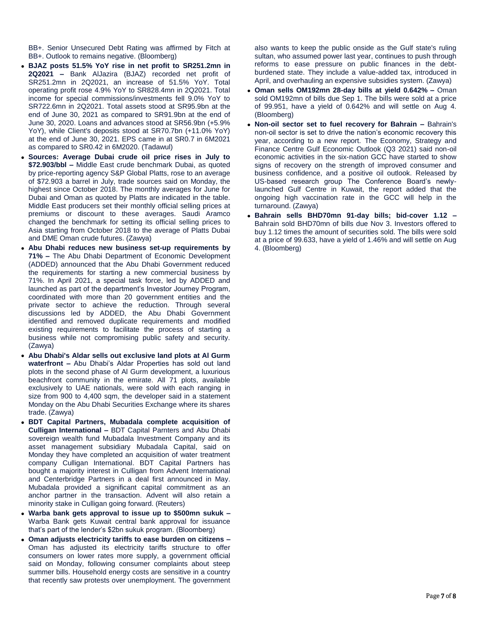BB+. Senior Unsecured Debt Rating was affirmed by Fitch at BB+. Outlook to remains negative. (Bloomberg)

- **BJAZ posts 51.5% YoY rise in net profit to SR251.2mn in 2Q2021 –** Bank AlJazira (BJAZ) recorded net profit of SR251.2mn in 2Q2021, an increase of 51.5% YoY. Total operating profit rose 4.9% YoY to SR828.4mn in 2Q2021. Total income for special commissions/investments fell 9.0% YoY to SR722.6mn in 2Q2021. Total assets stood at SR95.9bn at the end of June 30, 2021 as compared to SR91.9bn at the end of June 30, 2020. Loans and advances stood at SR56.9bn (+5.9% YoY), while Client's deposits stood at SR70.7bn (+11.0% YoY) at the end of June 30, 2021. EPS came in at SR0.7 in 6M2021 as compared to SR0.42 in 6M2020. (Tadawul)
- **Sources: Average Dubai crude oil price rises in July to \$72.903/bbl –** Middle East crude benchmark Dubai, as quoted by price-reporting agency S&P Global Platts, rose to an average of \$72.903 a barrel in July, trade sources said on Monday, the highest since October 2018. The monthly averages for June for Dubai and Oman as quoted by Platts are indicated in the table. Middle East producers set their monthly official selling prices at premiums or discount to these averages. Saudi Aramco changed the benchmark for setting its official selling prices to Asia starting from October 2018 to the average of Platts Dubai and DME Oman crude futures. (Zawya)
- **Abu Dhabi reduces new business set-up requirements by 71% –** The Abu Dhabi Department of Economic Development (ADDED) announced that the Abu Dhabi Government reduced the requirements for starting a new commercial business by 71%. In April 2021, a special task force, led by ADDED and launched as part of the department's Investor Journey Program, coordinated with more than 20 government entities and the private sector to achieve the reduction. Through several discussions led by ADDED, the Abu Dhabi Government identified and removed duplicate requirements and modified existing requirements to facilitate the process of starting a business while not compromising public safety and security. (Zawya)
- **Abu Dhabi's Aldar sells out exclusive land plots at Al Gurm waterfront –** Abu Dhabi's Aldar Properties has sold out land plots in the second phase of Al Gurm development, a luxurious beachfront community in the emirate. All 71 plots, available exclusively to UAE nationals, were sold with each ranging in size from 900 to 4,400 sqm, the developer said in a statement Monday on the Abu Dhabi Securities Exchange where its shares trade. (Zawya)
- **BDT Capital Partners, Mubadala complete acquisition of Culligan International –** BDT Capital Parnters and Abu Dhabi sovereign wealth fund Mubadala Investment Company and its asset management subsidiary Mubadala Capital, said on Monday they have completed an acquisition of water treatment company Culligan International. BDT Capital Partners has bought a majority interest in Culligan from Advent International and Centerbridge Partners in a deal first announced in May. Mubadala provided a significant capital commitment as an anchor partner in the transaction. Advent will also retain a minority stake in Culligan going forward. (Reuters)
- **Warba bank gets approval to issue up to \$500mn sukuk –** Warba Bank gets Kuwait central bank approval for issuance that's part of the lender's \$2bn sukuk program. (Bloomberg)
- **Oman adjusts electricity tariffs to ease burden on citizens –** Oman has adjusted its electricity tariffs structure to offer consumers on lower rates more supply, a government official said on Monday, following consumer complaints about steep summer bills. Household energy costs are sensitive in a country that recently saw protests over unemployment. The government

also wants to keep the public onside as the Gulf state's ruling sultan, who assumed power last year, continues to push through reforms to ease pressure on public finances in the debtburdened state. They include a value-added tax, introduced in April, and overhauling an expensive subsidies system. (Zawya)

- **Oman sells OM192mn 28-day bills at yield 0.642% –** Oman sold OM192mn of bills due Sep 1. The bills were sold at a price of 99.951, have a yield of 0.642% and will settle on Aug 4. (Bloomberg)
- **Non-oil sector set to fuel recovery for Bahrain –** Bahrain's non-oil sector is set to drive the nation's economic recovery this year, according to a new report. The Economy, Strategy and Finance Centre Gulf Economic Outlook (Q3 2021) said non-oil economic activities in the six-nation GCC have started to show signs of recovery on the strength of improved consumer and business confidence, and a positive oil outlook. Released by US-based research group The Conference Board's newlylaunched Gulf Centre in Kuwait, the report added that the ongoing high vaccination rate in the GCC will help in the turnaround. (Zawya)
- **Bahrain sells BHD70mn 91-day bills; bid-cover 1.12 –** Bahrain sold BHD70mn of bills due Nov 3. Investors offered to buy 1.12 times the amount of securities sold. The bills were sold at a price of 99.633, have a yield of 1.46% and will settle on Aug 4. (Bloomberg)